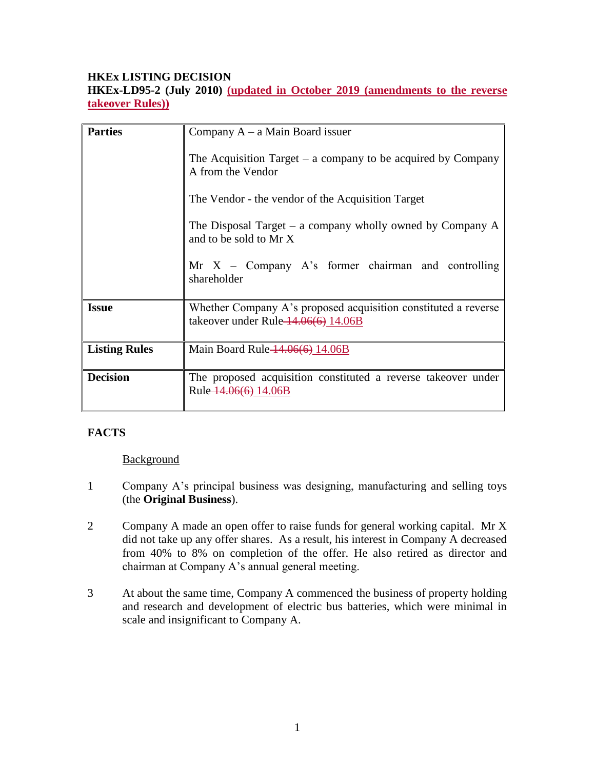## **HKEx LISTING DECISION**

**HKEx-LD95-2 (July 2010) (updated in October 2019 (amendments to the reverse takeover Rules))**

| <b>Parties</b>       | Company $A - a$ Main Board issuer                                                                        |
|----------------------|----------------------------------------------------------------------------------------------------------|
|                      | The Acquisition Target $-$ a company to be acquired by Company<br>A from the Vendor                      |
|                      | The Vendor - the vendor of the Acquisition Target                                                        |
|                      | The Disposal Target – a company wholly owned by Company $A$<br>and to be sold to Mr X                    |
|                      | $Mr X - Company A's former chairman and controlling$<br>shareholder                                      |
| <b>Issue</b>         | Whether Company A's proposed acquisition constituted a reverse<br>takeover under Rule $-14.06(6)$ 14.06B |
| <b>Listing Rules</b> | Main Board Rule $14.06(6)$ 14.06B                                                                        |
| <b>Decision</b>      | The proposed acquisition constituted a reverse takeover under<br>Rule 14.06(6) 14.06B                    |

# **FACTS**

**Background** 

- 1 Company A's principal business was designing, manufacturing and selling toys (the **Original Business**).
- 2 Company A made an open offer to raise funds for general working capital. Mr X did not take up any offer shares. As a result, his interest in Company A decreased from 40% to 8% on completion of the offer. He also retired as director and chairman at Company A's annual general meeting.
- 3 At about the same time, Company A commenced the business of property holding and research and development of electric bus batteries, which were minimal in scale and insignificant to Company A.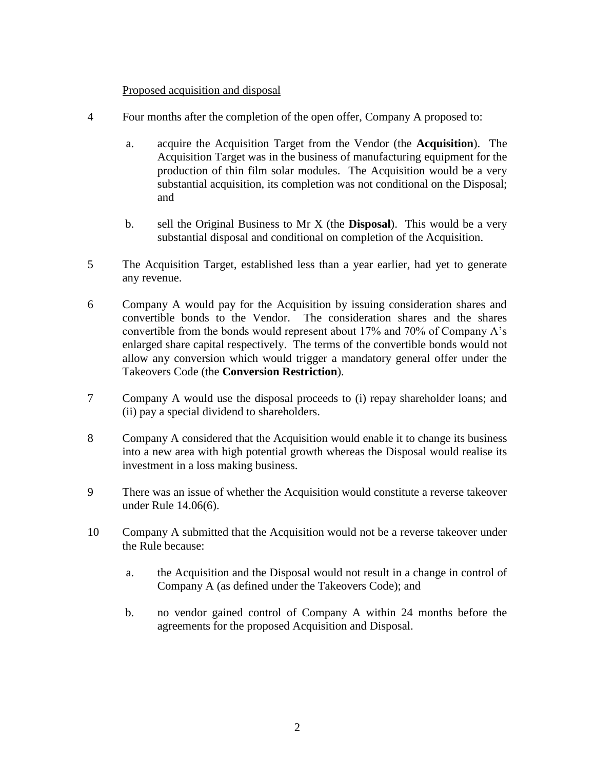### Proposed acquisition and disposal

- 4 Four months after the completion of the open offer, Company A proposed to:
	- a. acquire the Acquisition Target from the Vendor (the **Acquisition**). The Acquisition Target was in the business of manufacturing equipment for the production of thin film solar modules. The Acquisition would be a very substantial acquisition, its completion was not conditional on the Disposal; and
	- b. sell the Original Business to Mr X (the **Disposal**). This would be a very substantial disposal and conditional on completion of the Acquisition.
- 5 The Acquisition Target, established less than a year earlier, had yet to generate any revenue.
- 6 Company A would pay for the Acquisition by issuing consideration shares and convertible bonds to the Vendor. The consideration shares and the shares convertible from the bonds would represent about 17% and 70% of Company A's enlarged share capital respectively. The terms of the convertible bonds would not allow any conversion which would trigger a mandatory general offer under the Takeovers Code (the **Conversion Restriction**).
- 7 Company A would use the disposal proceeds to (i) repay shareholder loans; and (ii) pay a special dividend to shareholders.
- 8 Company A considered that the Acquisition would enable it to change its business into a new area with high potential growth whereas the Disposal would realise its investment in a loss making business.
- 9 There was an issue of whether the Acquisition would constitute a reverse takeover under Rule 14.06(6).
- 10 Company A submitted that the Acquisition would not be a reverse takeover under the Rule because:
	- a. the Acquisition and the Disposal would not result in a change in control of Company A (as defined under the Takeovers Code); and
	- b. no vendor gained control of Company A within 24 months before the agreements for the proposed Acquisition and Disposal.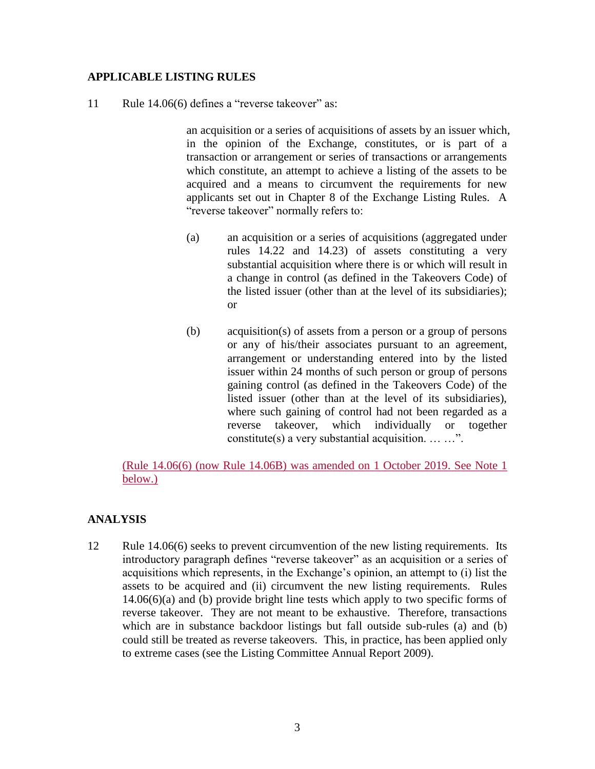### **APPLICABLE LISTING RULES**

11 Rule 14.06(6) defines a "reverse takeover" as:

an acquisition or a series of acquisitions of assets by an issuer which, in the opinion of the Exchange, constitutes, or is part of a transaction or arrangement or series of transactions or arrangements which constitute, an attempt to achieve a listing of the assets to be acquired and a means to circumvent the requirements for new applicants set out in Chapter 8 of the Exchange Listing Rules. A "reverse takeover" normally refers to:

- (a) an acquisition or a series of acquisitions (aggregated under rules 14.22 and 14.23) of assets constituting a very substantial acquisition where there is or which will result in a change in control (as defined in the Takeovers Code) of the listed issuer (other than at the level of its subsidiaries); or
- (b) acquisition(s) of assets from a person or a group of persons or any of his/their associates pursuant to an agreement, arrangement or understanding entered into by the listed issuer within 24 months of such person or group of persons gaining control (as defined in the Takeovers Code) of the listed issuer (other than at the level of its subsidiaries), where such gaining of control had not been regarded as a reverse takeover, which individually or together constitute(s) a very substantial acquisition. … …".

(Rule 14.06(6) (now Rule 14.06B) was amended on 1 October 2019. See Note 1 below.)

### **ANALYSIS**

12 Rule 14.06(6) seeks to prevent circumvention of the new listing requirements. Its introductory paragraph defines "reverse takeover" as an acquisition or a series of acquisitions which represents, in the Exchange's opinion, an attempt to (i) list the assets to be acquired and (ii) circumvent the new listing requirements. Rules 14.06(6)(a) and (b) provide bright line tests which apply to two specific forms of reverse takeover. They are not meant to be exhaustive. Therefore, transactions which are in substance backdoor listings but fall outside sub-rules (a) and (b) could still be treated as reverse takeovers. This, in practice, has been applied only to extreme cases (see the Listing Committee Annual Report 2009).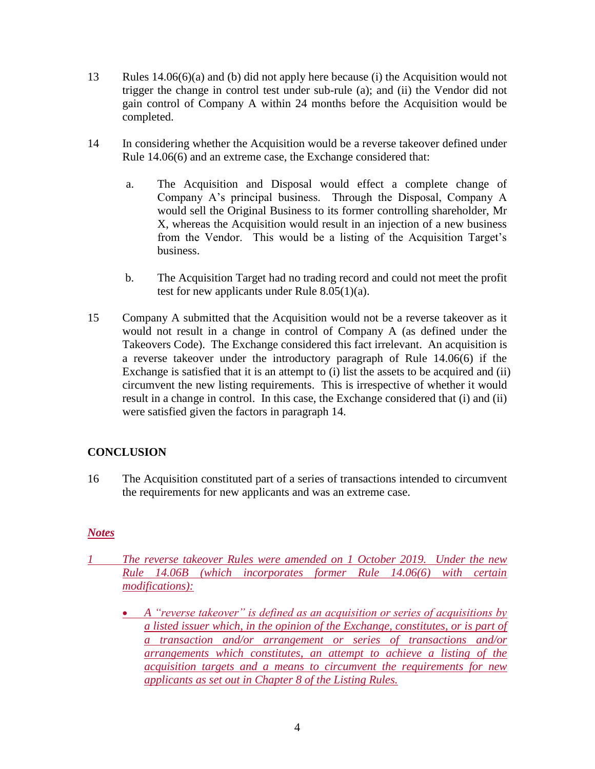- 13 Rules 14.06(6)(a) and (b) did not apply here because (i) the Acquisition would not trigger the change in control test under sub-rule (a); and (ii) the Vendor did not gain control of Company A within 24 months before the Acquisition would be completed.
- 14 In considering whether the Acquisition would be a reverse takeover defined under Rule 14.06(6) and an extreme case, the Exchange considered that:
	- a. The Acquisition and Disposal would effect a complete change of Company A's principal business. Through the Disposal, Company A would sell the Original Business to its former controlling shareholder, Mr X, whereas the Acquisition would result in an injection of a new business from the Vendor. This would be a listing of the Acquisition Target's business.
	- b. The Acquisition Target had no trading record and could not meet the profit test for new applicants under Rule 8.05(1)(a).
- 15 Company A submitted that the Acquisition would not be a reverse takeover as it would not result in a change in control of Company A (as defined under the Takeovers Code). The Exchange considered this fact irrelevant. An acquisition is a reverse takeover under the introductory paragraph of Rule 14.06(6) if the Exchange is satisfied that it is an attempt to (i) list the assets to be acquired and (ii) circumvent the new listing requirements. This is irrespective of whether it would result in a change in control. In this case, the Exchange considered that (i) and (ii) were satisfied given the factors in paragraph 14.

# **CONCLUSION**

16 The Acquisition constituted part of a series of transactions intended to circumvent the requirements for new applicants and was an extreme case.

## *Notes*

- *1 The reverse takeover Rules were amended on 1 October 2019. Under the new Rule 14.06B (which incorporates former Rule 14.06(6) with certain modifications):*
	- *A "reverse takeover" is defined as an acquisition or series of acquisitions by a listed issuer which, in the opinion of the Exchange, constitutes, or is part of a transaction and/or arrangement or series of transactions and/or arrangements which constitutes, an attempt to achieve a listing of the acquisition targets and a means to circumvent the requirements for new applicants as set out in Chapter 8 of the Listing Rules.*